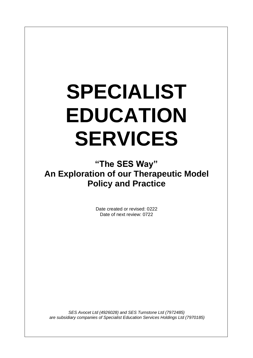# **SPECIALIST EDUCATION SERVICES**

**"The SES Way" An Exploration of our Therapeutic Model Policy and Practice**

> Date created or revised: 0222 Date of next review: 0722

*SES Avocet Ltd (4926028) and SES Turnstone Ltd (7972485) are subsidiary companies of Specialist Education Services Holdings Ltd (7970185)*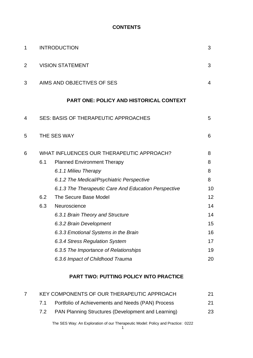#### **CONTENTS**

| $\mathbf 1$    | <b>INTRODUCTION</b>                       |                                                      |    |  |
|----------------|-------------------------------------------|------------------------------------------------------|----|--|
| $\overline{2}$ | <b>VISION STATEMENT</b>                   |                                                      |    |  |
| 3              | AIMS AND OBJECTIVES OF SES                |                                                      |    |  |
|                |                                           | <b>PART ONE: POLICY AND HISTORICAL CONTEXT</b>       |    |  |
| 4              |                                           | <b>SES: BASIS OF THERAPEUTIC APPROACHES</b><br>5     |    |  |
| 5              | THE SES WAY<br>6                          |                                                      |    |  |
| 6              | WHAT INFLUENCES OUR THERAPEUTIC APPROACH? |                                                      | 8  |  |
|                | 6.1                                       | <b>Planned Environment Therapy</b>                   | 8  |  |
|                |                                           | 6.1.1 Milieu Therapy                                 | 8  |  |
|                |                                           | 6.1.2 The Medical/Psychiatric Perspective            | 8  |  |
|                |                                           | 6.1.3 The Therapeutic Care And Education Perspective | 10 |  |
|                | 6.2                                       | The Secure Base Model                                | 12 |  |
|                | 6.3                                       | Neuroscience                                         | 14 |  |
|                |                                           | 6.3.1 Brain Theory and Structure                     | 14 |  |
|                |                                           | 6.3.2 Brain Development                              | 15 |  |
|                |                                           | 6.3.3 Emotional Systems in the Brain                 | 16 |  |
|                |                                           | 6.3.4 Stress Regulation System                       | 17 |  |
|                |                                           | 6.3.5 The Importance of Relationships                | 19 |  |
|                |                                           | 6.3.6 Impact of Childhood Trauma                     | 20 |  |
|                |                                           |                                                      |    |  |

#### **PART TWO: PUTTING POLICY INTO PRACTICE**

| KEY COMPONENTS OF OUR THERAPEUTIC APPROACH |                                                           |    |
|--------------------------------------------|-----------------------------------------------------------|----|
| 71                                         | Portfolio of Achievements and Needs (PAN) Process         | 21 |
|                                            | <b>PAN Planning Structures (Development and Learning)</b> | 23 |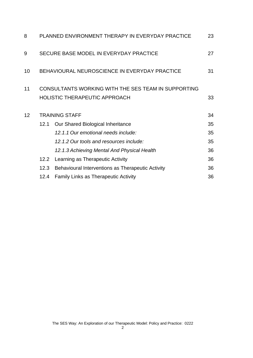| 8  | PLANNED ENVIRONMENT THERAPY IN EVERYDAY PRACTICE<br>23 |                                                                                                   |    |
|----|--------------------------------------------------------|---------------------------------------------------------------------------------------------------|----|
| 9  | SECURE BASE MODEL IN EVERYDAY PRACTICE<br>27           |                                                                                                   |    |
| 10 | BEHAVIOURAL NEUROSCIENCE IN EVERYDAY PRACTICE<br>31    |                                                                                                   |    |
| 11 |                                                        | CONSULTANTS WORKING WITH THE SES TEAM IN SUPPORTING<br><b>HOLISTIC THERAPEUTIC APPROACH</b><br>33 |    |
| 12 | <b>TRAINING STAFF</b>                                  |                                                                                                   |    |
|    | 12.1                                                   | Our Shared Biological Inheritance                                                                 | 35 |
|    |                                                        | 12.1.1 Our emotional needs include:                                                               | 35 |
|    |                                                        | 12.1.2 Our tools and resources include:                                                           | 35 |
|    |                                                        | 12.1.3 Achieving Mental And Physical Health                                                       | 36 |
|    | 12.2                                                   | Learning as Therapeutic Activity                                                                  | 36 |
|    | 12.3                                                   | Behavioural Interventions as Therapeutic Activity                                                 | 36 |
|    | 12.4                                                   | <b>Family Links as Therapeutic Activity</b>                                                       | 36 |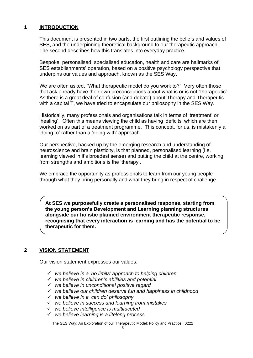#### **1 INTRODUCTION**

This document is presented in two parts, the first outlining the beliefs and values of SES, and the underpinning theoretical background to our therapeutic approach. The second describes how this translates into everyday practice.

Bespoke, personalised, specialised education, health and care are hallmarks of SES establishments' operation, based on a positive psychology perspective that underpins our values and approach, known as the SES Way.

We are often asked, "What therapeutic model do you work to?" Very often those that ask already have their own preconceptions about what is or is not "therapeutic". As there is a great deal of confusion (and debate) about Therapy and Therapeutic with a capital T, we have tried to encapsulate our philosophy in the SES Way.

Historically, many professionals and organisations talk in terms of 'treatment' or 'healing'. Often this means viewing the child as having 'deficits' which are then worked on as part of a treatment programme. This concept, for us, is mistakenly a 'doing to' rather than a 'doing with' approach.

Our perspective, backed up by the emerging research and understanding of neuroscience and brain plasticity, is that planned, personalised learning (i.e. learning viewed in it's broadest sense) and putting the child at the centre, working from strengths and ambitions is the 'therapy'.

We embrace the opportunity as professionals to learn from our young people through what they bring personally and what they bring in respect of challenge.

**At SES we purposefully create a personalised response, starting from the young person's Development and Learning planning structures alongside our holistic planned environment therapeutic response, recognising that every interaction is learning and has the potential to be therapeutic for them.** 

#### **2 VISION STATEMENT**

Our vision statement expresses our values:

- ✓ *we believe in a 'no limits' approach to helping children*
- ✓ *we believe in children's abilities and potential*
- ✓ *we believe in unconditional positive regard*
- ✓ *we believe our children deserve fun and happiness in childhood*
- ✓ *we believe in a 'can do' philosophy*
- ✓ *we believe in success and learning from mistakes*
- ✓ *we believe intelligence is multifaceted*
- ✓ *we believe learning is a lifelong process*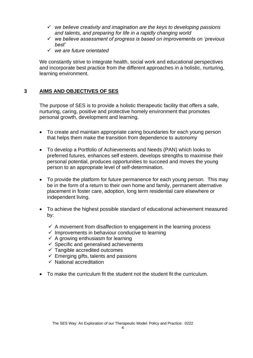- ✓ *we believe creativity and imagination are the keys to developing passions and talents, and preparing for life in a rapidly changing world*
- ✓ *we believe assessment of progress is based on improvements on 'previous best'*
- ✓ *we are future orientated*

We constantly strive to integrate health, social work and educational perspectives and incorporate best practice from the different approaches in a holistic, nurturing, learning environment.

# **3 AIMS AND OBJECTIVES OF SES**

The purpose of SES is to provide a holistic therapeutic facility that offers a safe, nurturing, caring, positive and protective homely environment that promotes personal growth, development and learning.

- To create and maintain appropriate caring boundaries for each young person that helps them make the transition from dependence to autonomy
- To develop a Portfolio of Achievements and Needs (PAN) which looks to preferred futures, enhances self esteem, develops strengths to maximise their personal potential, produces opportunities to succeed and moves the young person to an appropriate level of self-determination.
- To provide the platform for future permanence for each young person. This may be in the form of a return to their own home and family, permanent alternative placement in foster care, adoption, long term residential care elsewhere or independent living.
- To achieve the highest possible standard of educational achievement measured by:
	- $\checkmark$  A movement from disaffection to engagement in the learning process
	- $\checkmark$  Improvements in behaviour conducive to learning
	- $\checkmark$  A growing enthusiasm for learning
	- $\checkmark$  Specific and generalised achievements
	- $\checkmark$  Tangible accredited outcomes
	- $\checkmark$  Emerging gifts, talents and passions
	- $\checkmark$  National accreditation
- To make the curriculum fit the student not the student fit the curriculum.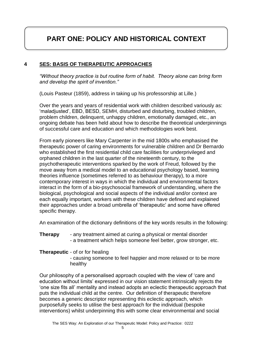# **PART ONE: POLICY AND HISTORICAL CONTEXT**

#### **4 SES: BASIS OF THERAPEUTIC APPROACHES**

*"Without theory practice is but routine form of habit. Theory alone can bring form and develop the spirit of invention."* 

(Louis Pasteur (1859), address in taking up his professorship at Lille.)

Over the years and years of residential work with children described variously as: 'maladjusted', EBD, BESD, SEMH, disturbed and disturbing, troubled children, problem children, delinquent, unhappy children, emotionally damaged, etc., an ongoing debate has been held about how to describe the theoretical underpinnings of successful care and education and which methodologies work best.

From early pioneers like Mary Carpenter in the mid 1800s who emphasised the therapeutic power of caring environments for vulnerable children and Dr Bernardo who established the first residential child care facilities for underprivileged and orphaned children in the last quarter of the nineteenth century, to the psychotherapeutic interventions sparked by the work of Freud, followed by the move away from a medical model to an educational psychology based, learning theories influence (sometimes referred to as behaviour therapy), to a more contemporary interest in ways in which the individual and environmental factors interact in the form of a bio-psychosocial framework of understanding, where the biological, psychological and social aspects of the individual and/or context are each equally important, workers with these children have defined and explained their approaches under a broad umbrella of 'therapeutic' and some have offered specific therapy.

An examination of the dictionary definitions of the key words results in the following:

**Therapy** - any treatment aimed at curing a physical or mental disorder - a treatment which helps someone feel better, grow stronger, etc.

#### **Therapeutic** - of or for healing

- causing someone to feel happier and more relaxed or to be more healthy

Our philosophy of a personalised approach coupled with the view of 'care and education without limits' expressed in our vision statement intrinsically rejects the 'one size fits all' mentality and instead adopts an eclectic therapeutic approach that puts the individual child at the centre. Our definition of therapeutic therefore becomes a generic descriptor representing this eclectic approach, which purposefully seeks to utilise the best approach for the individual (bespoke interventions) whilst underpinning this with some clear environmental and social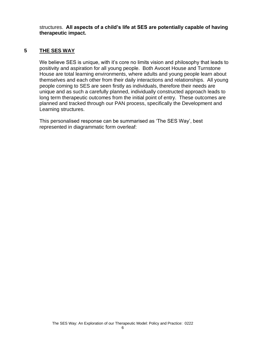structures. **All aspects of a child's life at SES are potentially capable of having therapeutic impact.**

#### **5 THE SES WAY**

We believe SES is unique, with it's core no limits vision and philosophy that leads to positivity and aspiration for all young people. Both Avocet House and Turnstone House are total learning environments, where adults and young people learn about themselves and each other from their daily interactions and relationships. All young people coming to SES are seen firstly as individuals, therefore their needs are unique and as such a carefully planned, individually constructed approach leads to long term therapeutic outcomes from the initial point of entry. These outcomes are planned and tracked through our PAN process, specifically the Development and Learning structures.

This personalised response can be summarised as 'The SES Way', best represented in diagrammatic form overleaf: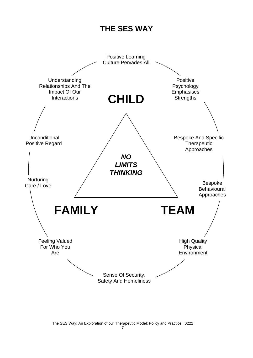# **THE SES WAY**

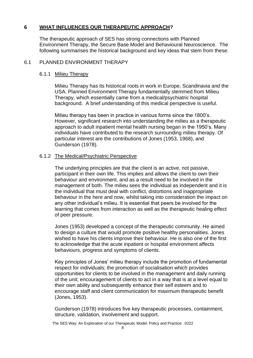## **6 WHAT INFLUENCES OUR THERAPEUTIC APPROACH?**

The therapeutic approach of SES has strong connections with Planned Environment Therapy, the Secure Base Model and Behavioural Neuroscience. The following summarises the historical background and key ideas that stem from these.

#### 6.1 PLANNED ENVIRONMENT THERAPY

#### 6.1.1 Milieu Therapy

Milieu Therapy has its historical roots in work in Europe, Scandinavia and the USA. Planned Environment Therapy fundamentally stemmed from Milieu Therapy, which essentially came from a medical/psychiatric hospital background. A brief understanding of this medical perspective is useful.

Milieu therapy has been in practice in various forms since the 1800's. However, significant research into understanding the milieu as a therapeutic approach to adult inpatient mental health nursing began in the 1950's. Many individuals have contributed to the research surrounding milieu therapy. Of particular interest are the contributions of Jones (1953, 1968), and Gunderson (1978).

## 6.1.2 The Medical/Psychiatric Perspective

The underlying principles are that the client is an active, not passive, participant in their own life. This implies and allows the client to own their behaviour and environment, and as a result need to be involved in the management of both. The milieu sees the individual as independent and it is the individual that must deal with conflict, distortions and inappropriate behaviour in the here and now, whilst taking into consideration the impact on any other individual's milieu. It is essential that peers be involved for the learning that comes from interaction as well as the therapeutic healing effect of peer pressure.

Jones (1953) developed a concept of the therapeutic community. He aimed to design a culture that would promote positive healthy personalities. Jones wished to have his clients improve their behaviour. He is also one of the first to acknowledge that the acute inpatient or hospital environment affects behaviours, progress and symptoms of clients.

Key principles of Jones' milieu therapy include the promotion of fundamental respect for individuals; the promotion of socialisation which provides opportunities for clients to be involved in the management and daily running of the unit; encouragement of clients to act in a way that is at a level equal to their own ability and subsequently enhance their self esteem and to encourage staff and client communication for maximum therapeutic benefit (Jones, 1953).

Gunderson (1978) introduces five key therapeutic processes, containment, structure, validation, involvement and support.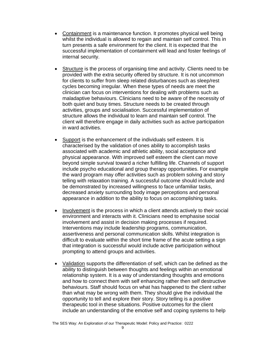- Containment is a maintenance function. It promotes physical well being whilst the individual is allowed to regain and maintain self control. This in turn presents a safe environment for the client. It is expected that the successful implementation of containment will lead and foster feelings of internal security.
- Structure is the process of organising time and activity. Clients need to be provided with the extra security offered by structure. It is not uncommon for clients to suffer from sleep related disturbances such as sleep/rest cycles becoming irregular. When these types of needs are meet the clinician can focus on interventions for dealing with problems such as maladaptive behaviours. Clinicians need to be aware of the necessity of both quiet and busy times. Structure needs to be created through activities, groups and socialisation. Successful implementation of structure allows the individual to learn and maintain self control. The client will therefore engage in daily activities such as active participation in ward activities.
- Support is the enhancement of the individuals self esteem. It is characterised by the validation of ones ability to accomplish tasks associated with academic and athletic ability, social acceptance and physical appearance. With improved self esteem the client can move beyond simple survival toward a richer fulfilling life. Channels of support include psycho educational and group therapy opportunities. For example the ward program may offer activities such as problem solving and story telling with relaxation training. A successful outcome should include and be demonstrated by increased willingness to face unfamiliar tasks, decreased anxiety surrounding body image perceptions and personal appearance in addition to the ability to focus on accomplishing tasks.
- Involvement is the process in which a client attends actively to their social environment and interacts with it. Clinicians need to emphasise social involvement and assist in decision making processes if required. Interventions may include leadership programs, communication, assertiveness and personal communication skills. Whilst integration is difficult to evaluate within the short time frame of the acute setting a sign that integration is successful would include active participation without prompting to attend groups and activities.
- Validation supports the differentiation of self, which can be defined as the ability to distinguish between thoughts and feelings within an emotional relationship system. It is a way of understanding thoughts and emotions and how to connect them with self enhancing rather then self destructive behaviours. Staff should focus on what has happened to the client rather than what may be wrong with them. They should give the individual the opportunity to tell and explore their story. Story telling is a positive therapeutic tool in these situations. Positive outcomes for the client include an understanding of the emotive self and coping systems to help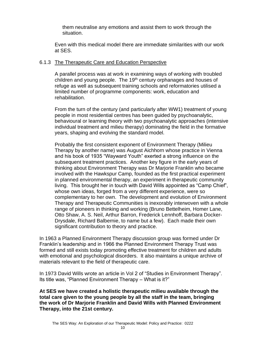them neutralise any emotions and assist them to work through the situation.

Even with this medical model there are immediate similarities with our work at SES.

#### 6.1.3 The Therapeutic Care and Education Perspective

A parallel process was at work in examining ways of working with troubled children and young people. The 19<sup>th</sup> century orphanages and houses of refuge as well as subsequent training schools and reformatories utilised a limited number of programme components: work, education and rehabilitation.

From the turn of the century (and particularly after WW1) treatment of young people in most residential centres has been guided by psychoanalytic, behavioural or learning theory with two psychoanalytic approaches (intensive individual treatment and milieu therapy) dominating the field in the formative years, shaping and evolving the standard model.

Probably the first consistent exponent of Environment Therapy (Milieu Therapy by another name) was August Aichhorn whose practice in Vienna and his book of 1935 "Wayward Youth" exerted a strong influence on the subsequent treatment practices. Another key figure in the early years of thinking about Environment Therapy was Dr Marjorie Franklin who became involved with the Hawkspur Camp, founded as the first practical experiment in planned environmental therapy, an experiment in therapeutic community living. This brought her in touch with David Wills appointed as "Camp Chief", whose own ideas, forged from a very different experience, were so complementary to her own. The development and evolution of Environment Therapy and Therapeutic Communities is inexorably interwoven with a whole range of pioneers in thinking and working (Bruno Bettelheim, Homer Lane, Otto Shaw, A. S. Neil, Arthur Barron, Frederick Lennhoff, Barbara Docker-Drysdale, Richard Balbernie, to name but a few). Each made their own significant contribution to theory and practice.

In 1963 a Planned Environment Therapy discussion group was formed under Dr Franklin's leadership and in 1966 the Planned Environment Therapy Trust was formed and still exists today promoting effective treatment for children and adults with emotional and psychological disorders. It also maintains a unique archive of materials relevant to the field of therapeutic care.

In 1973 David Wills wrote an article in Vol 2 of "Studies in Environment Therapy". Its title was, "Planned Environment Therapy – What is it?"

**At SES we have created a holistic therapeutic milieu available through the total care given to the young people by all the staff in the team, bringing the work of Dr Marjorie Franklin and David Wills with Planned Environment Therapy, into the 21st century.**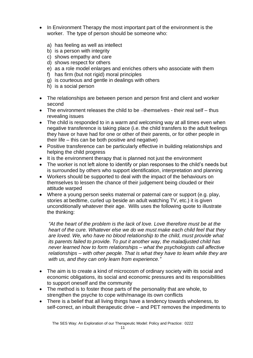- In Environment Therapy the most important part of the environment is the worker. The type of person should be someone who:
	- a) has feeling as well as intellect
	- b) is a person with integrity
	- c) shows empathy and care
	- d) shows respect for others
	- e) as a role model enlarges and enriches others who associate with them
	- f) has firm (but not rigid) moral principles
	- g) is courteous and gentle in dealings with others
	- h) is a social person
- The relationships are between person and person first and client and worker second
- The environment releases the child to be  $-$ themselves their real self  $-$  thus revealing issues
- The child is responded to in a warm and welcoming way at all times even when negative transference is taking place (i.e. the child transfers to the adult feelings they have or have had for one or other of their parents, or for other people in their life – this can be both positive and negative)
- Positive transference can be particularly effective in building relationships and helping the child progress
- It is the environment therapy that is planned not just the environment
- The worker is not left alone to identify or plan responses to the child's needs but is surrounded by others who support identification, interpretation and planning
- Workers should be supported to deal with the impact of the behaviours on themselves to lessen the chance of their judgement being clouded or their attitude warped
- Where a young person seeks maternal or paternal care or support (e.g. play, stories at bedtime, curled up beside an adult watching TV, etc.) it is given unconditionally whatever their age. Wills uses the following quote to illustrate the thinking:

*"At the heart of the problem is the lack of love. Love therefore must be at the heart of the cure. Whatever else we do we must make each child feel that they are loved. We, who have no blood relationship to the child, must provide what its parents failed to provide. To put it another way, the maladjusted child has never learned how to form relationships – what the psychologists call affective relationships – with other people. That is what they have to learn while they are with us, and they can only learn from experience."*

- The aim is to create a kind of microcosm of ordinary society with its social and economic obligations, its social and economic pressures and its responsibilities to support oneself and the community
- The method is to foster those parts of the personality that are whole, to strengthen the psyche to cope with/manage its own conflicts
- There is a belief that all living things have a tendency towards wholeness, to self-correct, an inbuilt therapeutic drive – and PET removes the impediments to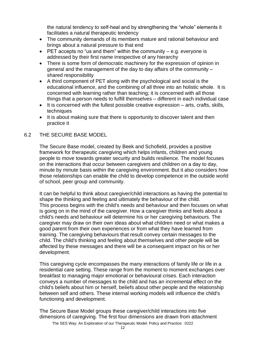the natural tendency to self-heal and by strengthening the "whole" elements it facilitates a natural therapeutic tendency

- The community demands of its members mature and rational behaviour and brings about a natural pressure to that end
- $\bullet$  PET accepts no "us and them" within the community e.g. everyone is addressed by their first name irrespective of any hierarchy
- There is some form of democratic machinery for the expression of opinion in general and the management of the day to day affairs of the community – shared responsibility
- A third component of PET along with the psychological and social is the educational influence, and the combining of all three into an holistic whole. It is concerned with learning rather than teaching; it is concerned with all those things that a person needs to fulfill themselves – different in each individual case
- It is concerned with the fullest possible creative expression arts, crafts, skills, techniques
- It is about making sure that there is opportunity to discover talent and then practice it

#### 6.2 THE SECURE BASE MODEL

The Secure Base model, created by Beek and Schofield, provides a positive framework for therapeutic caregiving which helps infants, children and young people to move towards greater security and builds resilience. The model focuses on the interactions that occur between caregivers and children on a day to day, minute by minute basis within the caregiving environment. But it also considers how those relationships can enable the child to develop competence in the outside world of school, peer group and community.

It can be helpful to think about caregiver/child interactions as having the potential to shape the thinking and feeling and ultimately the behaviour of the child. This process begins with the child's needs and behaviour and then focuses on what is going on in the mind of the caregiver. How a caregiver thinks and feels about a child's needs and behaviour will determine his or her caregiving behaviours. The caregiver may draw on their own ideas about what children need or what makes a good parent from their own experiences or from what they have learned from training. The caregiving behaviours that result convey certain messages to the child. The child's thinking and feeling about themselves and other people will be affected by these messages and there will be a consequent impact on his or her development.

This caregiving cycle encompasses the many interactions of family life or life in a residential care setting. These range from the moment to moment exchanges over breakfast to managing major emotional or behavioural crises. Each interaction conveys a number of messages to the child and has an incremental effect on the child's beliefs about him or herself, beliefs about other people and the relationship between self and others. These internal working models will influence the child's functioning and development.

The Secure Base Model groups these caregiver/child interactions into five dimensions of caregiving. The first four dimensions are drawn from attachment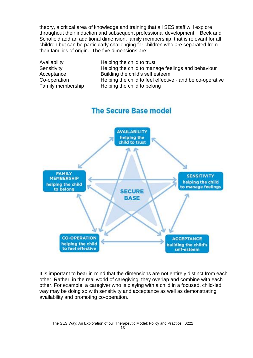theory, a critical area of knowledge and training that all SES staff will explore throughout their induction and subsequent professional development. Beek and Schofield add an additional dimension, family membership, that is relevant for all children but can be particularly challenging for children who are separated from their families of origin. The five dimensions are:

| Availability      | Helping the child to trust                                |
|-------------------|-----------------------------------------------------------|
| Sensitivity       | Helping the child to manage feelings and behaviour        |
| Acceptance        | Building the child's self esteem                          |
| Co-operation      | Helping the child to feel effective - and be co-operative |
| Family membership | Helping the child to belong                               |
|                   |                                                           |

# **The Secure Base model**



It is important to bear in mind that the dimensions are not entirely distinct from each other. Rather, in the real world of caregiving, they overlap and combine with each other. For example, a caregiver who is playing with a child in a focused, child-led way may be doing so with sensitivity and acceptance as well as demonstrating availability and promoting co-operation.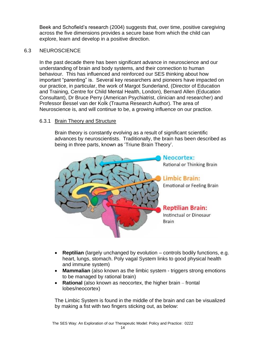Beek and Schofield's research (2004) suggests that, over time, positive caregiving across the five dimensions provides a secure base from which the child can explore, learn and develop in a positive direction.

#### 6.3 NEUROSCIENCE

In the past decade there has been significant advance in neuroscience and our understanding of brain and body systems, and their connection to human behaviour. This has influenced and reinforced our SES thinking about how important "parenting" is. Several key researchers and pioneers have impacted on our practice, in particular, the work of Margot Sunderland, (Director of Education and Training, Centre for Child Mental Health, London), Bernard Allen (Education Consultant), Dr Bruce Perry (American Psychiatrist, clinician and researcher) and Professor Bessel van der Kolk (Trauma Research Author). The area of Neuroscience is, and will continue to be, a growing influence on our practice.

#### 6.3.1 Brain Theory and Structure

Brain theory is constantly evolving as a result of significant scientific advances by neuroscientists. Traditionally, the brain has been described as being in three parts, known as 'Triune Brain Theory'.



- **Reptilian** (largely unchanged by evolution controls bodily functions, e.g. heart, lungs, stomach. Poly vagal System links to good physical health and immune system)
- **Mammalian** (also known as the limbic system triggers strong emotions to be managed by rational brain)
- **Rational** (also known as neocortex, the higher brain frontal lobes/neocortex)

The Limbic System is found in the middle of the brain and can be visualized by making a fist with two fingers sticking out, as below: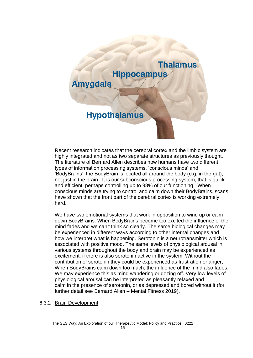

Recent research indicates that the cerebral cortex and the limbic system are highly integrated and not as two separate structures as previously thought. The literature of Bernard Allen describes how humans have two different types of information processing systems, 'conscious minds' and 'BodyBrains'; the BodyBrain is located all around the body (e.g. in the gut), not just in the brain. It is our subconscious processing system, that is quick and efficient, perhaps controlling up to 98% of our functioning. When conscious minds are trying to control and calm down their BodyBrains, scans have shown that the front part of the cerebral cortex is working extremely hard.

We have two emotional systems that work in opposition to wind up or calm down BodyBrains. When BodyBrains become too excited the influence of the mind fades and we can't think so clearly. The same biological changes may be experienced in different ways according to other internal changes and how we interpret what is happening. Serotonin is a neurotransmitter which is associated with positive mood. The same levels of physiological arousal in various systems throughout the body and brain may be experienced as excitement, if there is also serotonin active in the system. Without the contribution of serotonin they could be experienced as frustration or anger, When BodyBrains calm down too much, the influence of the mind also fades. We may experience this as mind wandering or dozing off. Very low levels of physiological arousal can be interpreted as pleasantly relaxed and calm in the presence of serotonin, or as depressed and bored without it (for further detail see Bernard Allen – Mental Fitness 2019).

#### 6.3.2 Brain Development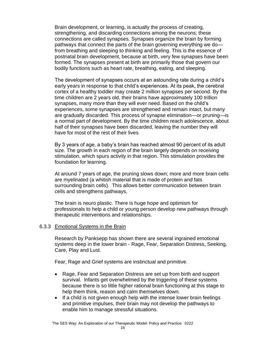Brain development, or learning, is actually the process of creating, strengthening, and discarding connections among the neurons; these connections are called synapses. Synapses organize the brain by forming pathways that connect the parts of the brain governing everything we do from breathing and sleeping to thinking and feeling. This is the essence of postnatal brain development, because at birth, very few synapses have been formed. The synapses present at birth are primarily those that govern our bodily functions such as heart rate, breathing, eating, and sleeping.

The development of synapses occurs at an astounding rate during a child's early years in response to that child's experiences. At its peak, the cerebral cortex of a healthy toddler may create 2 million synapses per second. By the time children are 2 years old, their brains have approximately 100 trillion synapses, many more than they will ever need. Based on the child's experiences, some synapses are strengthened and remain intact, but many are gradually discarded. This process of synapse elimination—or pruning—is a normal part of development. By the time children reach adolescence, about half of their synapses have been discarded, leaving the number they will have for most of the rest of their lives

By 3 years of age, a baby's brain has reached almost 90 percent of its adult size. The growth in each region of the brain largely depends on receiving stimulation, which spurs activity in that region. This stimulation provides the foundation for learning.

At around 7 years of age, the pruning slows down; more and more brain cells are myelinated (a whitish material that is made of protein and fats surrounding brain cells). This allows better communication between brain cells and strengthens pathways.

The brain is neuro plastic. There is huge hope and optimism for professionals to help a child or young person develop new pathways through therapeutic interventions and relationships.

#### 6.3.3 Emotional Systems in the Brain

Research by Panksepp has shown there are several ingrained emotional systems deep in the lower brain - Rage, Fear, Separation Distress, Seeking, Care, Play and Lust.

Fear, Rage and Grief systems are instinctual and primitive.

- Rage, Fear and Separation Distress are set up from birth and support survival. Infants get overwhelmed by the triggering of these systems because there is so little higher rational brain functioning at this stage to help them think, reason and calm themselves down.
- If a child is not given enough help with the intense lower brain feelings and primitive impulses, their brain may not develop the pathways to enable him to manage stressful situations.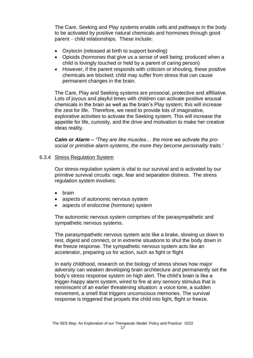The Care, Seeking and Play systems enable cells and pathways in the body to be activated by positive natural chemicals and hormones through good parent – child relationships. These include:

- Oxytocin (released at birth to support bonding)
- Opioids (hormones that give us a sense of well being; produced when a child is lovingly touched or held by a parent of caring person)
- However, if the parent responds with criticism or shouting, these positive chemicals are blocked; child may suffer from stress that can cause permanent changes in the brain.

The Care, Play and Seeking systems are prosocial, protective and affiliative. Lots of joyous and playful times with children can activate positive arousal chemicals in the brain as well as the brain's Play system; this will increase the zest for life. Therefore, we need to provide lots of imaginative, explorative activities to activate the Seeking system. This will increase the appetite for life, curiosity, and the drive and motivation to make her creative ideas reality.

*Calm or Alarm – 'They are like muscles… the more we activate the prosocial or primitive alarm systems, the more they become personality traits.'*

#### 6.3.4 Stress Regulation System

Our stress-regulation system is vital to our survival and is activated by our primitive survival circuits: rage, fear and separation distress. The stress regulation system involves:

- brain
- aspects of autonomic nervous system
- aspects of endocrine (hormone) system

The autonomic nervous system comprises of the parasympathetic and sympathetic nervous systems.

The parasympathetic nervous system acts like a brake, slowing us down to rest, digest and connect, or in extreme situations to shut the body down in the freeze response. The sympathetic nervous system acts like an accelerator, preparing us for action, such as fight or flight

In early childhood, research on the biology of stress shows how major adversity can weaken developing brain architecture and permanently set the body's stress response system on high alert. The child's brain is like a trigger-happy alarm system, wired to fire at any sensory stimulus that is reminiscent of an earlier threatening situation: a voice tone, a sudden movement, a smell that triggers unconscious memories. The survival response is triggered that propels the child into fight, flight or freeze.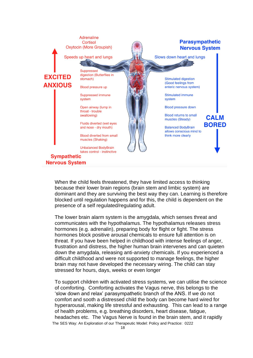

When the child feels threatened, they have limited access to thinking because their lower brain regions (brain stem and limbic system) are dominant and they are surviving the best way they can. Learning is therefore blocked until regulation happens and for this, the child is dependent on the presence of a self regulated/regulating adult.

The lower brain alarm system is the amygdala, which senses threat and communicates with the hypothalamus. The hypothalamus releases stress hormones (e.g. adrenalin), preparing body for flight or fight. The stress hormones block positive arousal chemicals to ensure full attention is on threat. If you have been helped in childhood with intense feelings of anger, frustration and distress, the higher human brain intervenes and can quieten down the amygdala, releasing anti-anxiety chemicals. If you experienced a difficult childhood and were not supported to manage feelings, the higher brain may not have developed the necessary wiring. The child can stay stressed for hours, days, weeks or even longer

The SES Way: An Exploration of our Therapeutic Model: Policy and Practice: 0222 To support children with activated stress systems, we can utilise the science of comforting. Comforting activates the Vagus nerve, this belongs to the 'slow down and relax' parasympathetic branch of the ANS. If we do not comfort and sooth a distressed child the body can become hard wired for hyperarousal, making life stressful and exhausting. This can lead to a range of health problems, e.g. breathing disorders, heart disease, fatigue, headaches etc. The Vagus Nerve is found in the brain stem, and it rapidly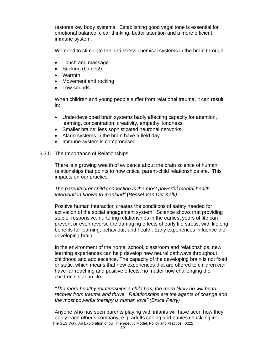restores key body systems. Establishing good vagal tone is essential for emotional balance, clear thinking, better attention and a more efficient immune system.

We need to stimulate the anti-stress chemical systems in the brain through:

- Touch and massage
- Sucking (babies!)
- Warmth
- Movement and rocking
- Low sounds

When children and young people suffer from relational trauma, it can result in:

- Underdeveloped brain systems badly affecting capacity for attention, learning, concentration, creativity, empathy, kindness.
- Smaller brains: less sophisticated neuronal networks
- Alarm systems in the brain have a field day
- Immune system is compromised

#### 6.3.5 The Importance of Relationships

There is a growing wealth of evidence about the brain science of human relationships that points to how critical parent-child relationships are. This impacts on our practice.

#### *The parent/carer-child connection is the most powerful mental health intervention known to mankind"* **(***Bessel Van Der Kolk)*

Positive human interaction creates the conditions of safety needed for activation of the social engagement system. Science shows that providing stable, responsive, nurturing relationships in the earliest years of life can prevent or even reverse the damaging effects of early life stress, with lifelong benefits for learning, behaviour, and health. Early experiences influence the developing brain.

In the environment of the home, school, classroom and relationships, new learning experiences can help develop new neural pathways throughout childhood and adolescence. The capacity of the developing brain is not fixed or static, which means that new experiences that are offered to children can have far-reaching and positive effects, no matter how challenging the children's start in life.

*"The more healthy relationships a child has, the more likely he will be to recover from trauma and thrive. Relationships are the agents of change and the most powerful therapy is human love" (Bruce Perry)*

The SES Way: An Exploration of our Therapeutic Model: Policy and Practice: 0222 Anyone who has seen parents playing with infants will have seen how they enjoy each other's company, e.g. adults cooing and babies chuckling in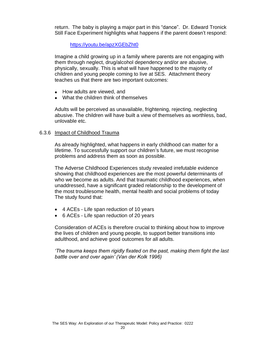return. The baby is playing a major part in this "dance". Dr. Edward Tronick Still Face Experiment highlights what happens if the parent doesn't respond:

<https://youtu.be/apzXGEbZht0>

Imagine a child growing up in a family where parents are not engaging with them through neglect, drug/alcohol dependency and/or are abusive, physically, sexually. This is what will have happened to the majority of children and young people coming to live at SES. Attachment theory teaches us that there are two important outcomes:

- How adults are viewed, and
- What the children think of themselves

Adults will be perceived as unavailable, frightening, rejecting, neglecting abusive. The children will have built a view of themselves as worthless, bad, unlovable etc.

#### 6.3.6 Impact of Childhood Trauma

As already highlighted, what happens in early childhood can matter for a lifetime. To successfully support our children's future, we must recognise problems and address them as soon as possible.

The Adverse Childhood Experiences study revealed irrefutable evidence showing that childhood experiences are the most powerful determinants of who we become as adults. And that traumatic childhood experiences, when unaddressed, have a significant graded relationship to the development of the most troublesome health, mental health and social problems of today The study found that:

- 4 ACEs Life span reduction of 10 years
- 6 ACEs Life span reduction of 20 years

Consideration of ACEs is therefore crucial to thinking about how to improve the lives of children and young people, to support better transitions into adulthood, and achieve good outcomes for all adults.

*'The trauma keeps them rigidly fixated on the past, making them fight the last battle over and over again' (Van der Kolk 1996)*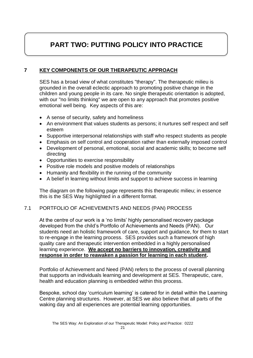# **PART TWO: PUTTING POLICY INTO PRACTICE**

# **7 KEY COMPONENTS OF OUR THERAPEUTIC APPROACH**

SES has a broad view of what constitutes "therapy". The therapeutic milieu is grounded in the overall eclectic approach to promoting positive change in the children and young people in its care. No single therapeutic orientation is adopted, with our "no limits thinking" we are open to any approach that promotes positive emotional well being. Key aspects of this are:

- A sense of security, safety and homeliness
- An environment that values students as persons; it nurtures self respect and self esteem
- Supportive interpersonal relationships with staff who respect students as people
- Emphasis on self control and cooperation rather than externally imposed control
- Development of personal, emotional, social and academic skills; to become self directing
- Opportunities to exercise responsibility
- Positive role models and positive models of relationships
- Humanity and flexibility in the running of the community
- A belief in learning without limits and support to achieve success in learning

The diagram on the following page represents this therapeutic milieu; in essence this is the SES Way highlighted in a different format.

#### 7.1 PORTFOLIO OF ACHIEVEMENTS AND NEEDS (PAN) PROCESS

At the centre of our work is a 'no limits' highly personalised recovery package developed from the child's Portfolio of Achievements and Needs (PAN). Our students need an holistic framework of care, support and guidance, for them to start to re-engage in the learning process. SES provides such a framework of high quality care and therapeutic intervention embedded in a highly personalised learning experience. **We accept no barriers to innovation, creativity and response in order to reawaken a passion for learning in each student.** 

Portfolio of Achievement and Need (PAN) refers to the process of overall planning that supports an individuals learning and development at SES. Therapeutic, care, health and education planning is embedded within this process.

Bespoke, school day 'curriculum learning' is catered for in detail within the Learning Centre planning structures. However, at SES we also believe that all parts of the waking day and all experiences are potential learning opportunities.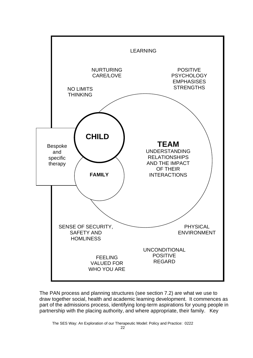

The PAN process and planning structures (see section 7.2) are what we use to draw together social, health and academic learning development. It commences as part of the admissions process, identifying long-term aspirations for young people in partnership with the placing authority, and where appropriate, their family. Key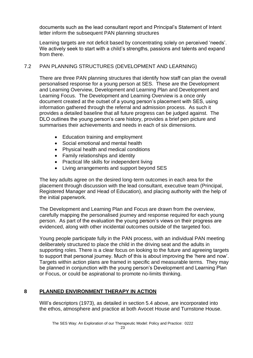documents such as the lead consultant report and Principal's Statement of Intent letter inform the subsequent PAN planning structures

Learning targets are not deficit based by concentrating solely on perceived 'needs'. We actively seek to start with a child's strengths, passions and talents and expand from there.

## 7.2 PAN PLANNING STRUCTURES (DEVELOPMENT AND LEARNING)

There are three PAN planning structures that identify how staff can plan the overall personalised response for a young person at SES. These are the Development and Learning Overview, Development and Learning Plan and Development and Learning Focus. The Development and Learning Overview is a once only document created at the outset of a young person's placement with SES, using information gathered through the referral and admission process. As such it provides a detailed baseline that all future progress can be judged against. The DLO outlines the young person's care history, provides a brief pen picture and summarises their achievements and needs in each of six dimensions.

- Education training and employment
- Social emotional and mental health
- Physical health and medical conditions
- Family relationships and identity
- Practical life skills for independent living
- Living arrangements and support beyond SES

The key adults agree on the desired long-term outcomes in each area for the placement through discussion with the lead consultant, executive team (Principal, Registered Manager and Head of Education), and placing authority with the help of the initial paperwork.

The Development and Learning Plan and Focus are drawn from the overview, carefully mapping the personalised journey and response required for each young person. As part of the evaluation the young person's views on their progress are evidenced, along with other incidental outcomes outside of the targeted foci.

Young people participate fully in the PAN process, with an individual PAN meeting deliberately structured to place the child in the driving seat and the adults in supporting roles. There is a clear focus on looking to the future and agreeing targets to support that personal journey. Much of this is about improving the 'here and now'. Targets within action plans are framed in specific and measurable terms. They may be planned in conjunction with the young person's Development and Learning Plan or Focus, or could be aspirational to promote no-limits thinking.

# **8 PLANNED ENVIRONMENT THERAPY IN ACTION**

Will's descriptors (1973), as detailed in section 5.4 above, are incorporated into the ethos, atmosphere and practice at both Avocet House and Turnstone House.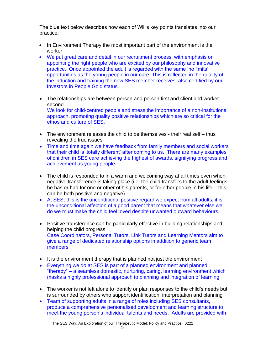The blue text below describes how each of Will's key points translates into our practice:

- In Environment Therapy the most important part of the environment is the worker.
- We put great care and detail in our recruitment process, with emphasis on appointing the right people who are excited by our philosophy and innovative practice. Once appointed the adult is regarded with the same 'no limits' opportunities as the young people in our care. This is reflected in the quality of the induction and training the new SES member receives, also certified by our Investors in People Gold status.
- The relationships are between person and person first and client and worker second We look for child-centred people and stress the importance of a non-institutional approach, promoting quality positive relationships which are so critical for the ethos and culture of SES.
- $\bullet$  The environment releases the child to be themselves their real self thus revealing the true issues
- Time and time again we have feedback from family members and social workers that their child is 'totally different' after coming to us. There are many examples of children in SES care achieving the highest of awards, signifying progress and achievement as young people.
- The child is responded to in a warm and welcoming way at all times even when negative transference is taking place (i.e. the child transfers to the adult feelings he has or had for one or other of his parents, or for other people in his life – this can be both positive and negative)
- At SES, this is the unconditional positive regard we expect from all adults; it is the unconditional affection of a good parent that means that whatever else we do we must make the child feel loved despite unwanted outward behaviours.
- Positive transference can be particularly effective in building relationships and helping the child progress Case Coordinators, Personal Tutors, Link Tutors and Learning Mentors aim to give a range of dedicated relationship options in addition to generic team members
- It is the environment therapy that is planned not just the environment
- Everything we do at SES is part of a planned environment and planned "therapy" – a seamless domestic, nurturing, caring, learning environment which masks a highly professional approach to planning and integration of learning
- The worker is not left alone to identify or plan responses to the child's needs but is surrounded by others who support identification, interpretation and planning
- Team of supporting adults in a range of roles including SES consultants, produce a comprehensive personalised development and learning structure to meet the young person's individual talents and needs. Adults are provided with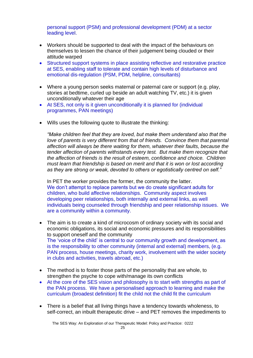personal support (PSM) and professional development (PDM) at a sector leading level.

- Workers should be supported to deal with the impact of the behaviours on themselves to lessen the chance of their judgement being clouded or their attitude warped
- Structured support systems in place assisting reflective and restorative practice at SES, enabling staff to tolerate and contain high levels of disturbance and emotional dis-regulation (PSM, PDM, helpline, consultants)
- Where a young person seeks maternal or paternal care or support (e.g. play, stories at bedtime, curled up beside an adult watching TV, etc.) it is given unconditionally whatever their age
- At SES, not only is it given unconditionally it is planned for (individual programmes, PAN meetings)
- Wills uses the following quote to illustrate the thinking:

*"Make children feel that they are loved, but make them understand also that the love of parents is very different from that of friends. Convince them that parental affection will always be there waiting for them, whatever their faults, because the tender affection of parents withstands every test. But make them recognize that the affection of friends is the result of esteem, confidence and choice. Children must learn that friendship is based on merit and that it is won or lost according as they are strong or weak, devoted to others or egotistically centred on self."*

In PET the worker provides the former, the community the latter. We don't attempt to replace parents but we do create significant adults for children, who build affective relationships. Community aspect involves developing peer relationships, both internally and external links, as well individuals being counseled through friendship and peer relationship issues. We are a community within a community.

- The aim is to create a kind of microcosm of ordinary society with its social and economic obligations, its social and economic pressures and its responsibilities to support oneself and the community The 'voice of the child' is central to our community growth and development, as is the responsibility to other community (internal and external) members, (e.g. PAN process, house meetings, charity work, involvement with the wider society in clubs and activities, travels abroad, etc.)
- The method is to foster those parts of the personality that are whole, to strengthen the psyche to cope with/manage its own conflicts
- At the core of the SES vision and philosophy is to start with strengths as part of the PAN process. We have a personalised approach to learning and make the curriculum (broadest definition) fit the child not the child fit the curriculum
- There is a belief that all living things have a tendency towards wholeness, to self-correct, an inbuilt therapeutic drive – and PET removes the impediments to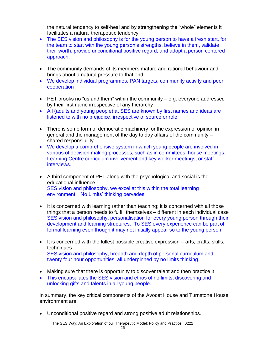the natural tendency to self-heal and by strengthening the "whole" elements it facilitates a natural therapeutic tendency

- The SES vision and philosophy is for the young person to have a fresh start, for the team to start with the young person's strengths, believe in them, validate their worth, provide unconditional positive regard, and adopt a person centered approach.
- The community demands of its members mature and rational behaviour and brings about a natural pressure to that end
- We develop individual programmes, PAN targets, community activity and peer cooperation
- PET brooks no "us and them" within the community  $-e.a.$  everyone addressed by their first name irrespective of any hierarchy
- All (adults and young people) at SES are known by first names and ideas are listened to with no prejudice, irrespective of source or role.
- There is some form of democratic machinery for the expression of opinion in general and the management of the day to day affairs of the community – shared responsibility
- We develop a comprehensive system in which young people are involved in various of decision making processes, such as in committees, house meetings, Learning Centre curriculum involvement and key worker meetings, or staff interviews.
- A third component of PET along with the psychological and social is the educational influence SES vision and philosophy, we excel at this within the total learning environment. 'No Limits' thinking pervades.
- It is concerned with learning rather than teaching; it is concerned with all those things that a person needs to fulfill themselves – different in each individual case SES vision and philosophy, personalisation for every young person through their development and learning structures. To SES every experience can be part of formal learning even though it may not initially appear so to the young person
- It is concerned with the fullest possible creative expression arts, crafts, skills, techniques SES vision and philosophy, breadth and depth of personal curriculum and twenty four hour opportunities, all underpinned by no limits thinking.
- Making sure that there is opportunity to discover talent and then practice it
- This encapsulates the SES vision and ethos of no limits, discovering and unlocking gifts and talents in all young people.

In summary, the key critical components of the Avocet House and Turnstone House environment are:

• Unconditional positive regard and strong positive adult relationships.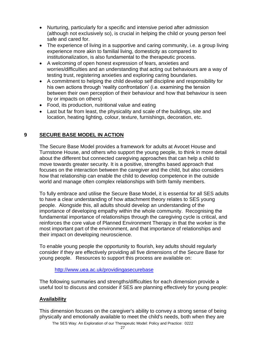- Nurturing, particularly for a specific and intensive period after admission (although not exclusively so), is crucial in helping the child or young person feel safe and cared for.
- The experience of living in a supportive and caring community, i.e. a group living experience more akin to familial living, domesticity as compared to institutionalization, is also fundamental to the therapeutic process.
- A welcoming of open honest expression of fears, anxieties and worries/difficulties and an understanding that acting out behaviours are a way of testing trust, registering anxieties and exploring caring boundaries.
- A commitment to helping the child develop self discipline and responsibility for his own actions through 'reality confrontation' (i.e. examining the tension between their own perception of their behaviour and how that behaviour is seen by or impacts on others)
- Food, its production, nutritional value and eating
- Last but far from least, the physicality and scale of the buildings, site and location, heating lighting, colour, texture, furnishings, decoration, etc.

## **9 SECURE BASE MODEL IN ACTION**

The Secure Base Model provides a framework for adults at Avocet House and Turnstone House, and others who support the young people, to think in more detail about the different but connected caregiving approaches that can help a child to move towards greater security. It is a positive, strengths based approach that focuses on the interaction between the caregiver and the child, but also considers how that relationship can enable the child to develop competence in the outside world and manage often complex relationships with birth family members.

To fully embrace and utilise the Secure Base Model, it is essential for all SES adults to have a clear understanding of how attachment theory relates to SES young people. Alongside this, all adults should develop an understanding of the importance of developing empathy within the whole community. Recognising the fundamental importance of relationships through the caregiving cycle is critical, and reinforces the core value of Planned Environment Therapy in that the worker is the most important part of the environment, and that importance of relationships and their impact on developing neuroscience.

To enable young people the opportunity to flourish, key adults should regularly consider if they are effectively providing all five dimensions of the Secure Base for young people. Resources to support this process are available on:

#### <http://www.uea.ac.uk/providingasecurebase>

The following summaries and strengths/difficulties for each dimension provide a useful tool to discuss and consider if SES are planning effectively for young people:

#### **Availability**

This dimension focuses on the caregiver's ability to convey a strong sense of being physically and emotionally available to meet the child's needs, both when they are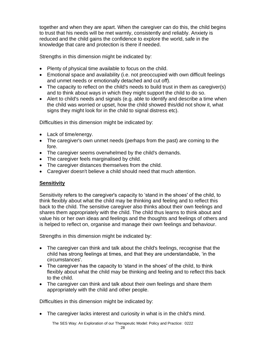together and when they are apart. When the caregiver can do this, the child begins to trust that his needs will be met warmly, consistently and reliably. Anxiety is reduced and the child gains the confidence to explore the world, safe in the knowledge that care and protection is there if needed.

Strengths in this dimension might be indicated by:

- Plenty of physical time available to focus on the child.
- Emotional space and availability (i.e. not preoccupied with own difficult feelings and unmet needs or emotionally detached and cut off).
- The capacity to reflect on the child's needs to build trust in them as caregiver(s) and to think about ways in which they might support the child to do so.
- Alert to child's needs and signals (e.g. able to identify and describe a time when the child was worried or upset, how the child showed this/did not show it, what signs they might look for in the child to signal distress etc).

Difficulties in this dimension might be indicated by:

- Lack of time/energy.
- The caregiver's own unmet needs (perhaps from the past) are coming to the fore.
- The caregiver seems overwhelmed by the child's demands.
- The caregiver feels marginalised by child.
- The caregiver distances themselves from the child.
- Caregiver doesn't believe a child should need that much attention.

# **Sensitivity**

Sensitivity refers to the caregiver's capacity to 'stand in the shoes' of the child, to think flexibly about what the child may be thinking and feeling and to reflect this back to the child. The sensitive caregiver also thinks about their own feelings and shares them appropriately with the child. The child thus learns to think about and value his or her own ideas and feelings and the thoughts and feelings of others and is helped to reflect on, organise and manage their own feelings and behaviour.

Strengths in this dimension might be indicated by:

- The caregiver can think and talk about the child's feelings, recognise that the child has strong feelings at times, and that they are understandable, 'in the circumstances'.
- The caregiver has the capacity to 'stand in the shoes' of the child, to think flexibly about what the child may be thinking and feeling and to reflect this back to the child.
- The caregiver can think and talk about their own feelings and share them appropriately with the child and other people.

Difficulties in this dimension might be indicated by:

The caregiver lacks interest and curiosity in what is in the child's mind.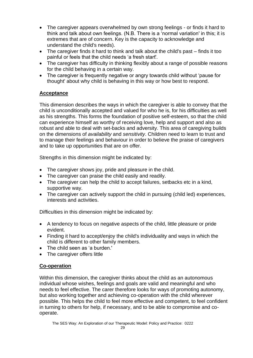- The caregiver appears overwhelmed by own strong feelings or finds it hard to think and talk about own feelings. (N.B. There is a 'normal variation' in this; it is extremes that are of concern. Key is the capacity to acknowledge and understand the child's needs).
- The caregiver finds it hard to think and talk about the child's past finds it too painful or feels that the child needs 'a fresh start'.
- The caregiver has difficulty in thinking flexibly about a range of possible reasons for the child behaving in a certain way.
- The caregiver is frequently negative or angry towards child without 'pause for thought' about why child is behaving in this way or how best to respond.

# **Acceptance**

This dimension describes the ways in which the caregiver is able to convey that the child is unconditionally accepted and valued for who he is, for his difficulties as well as his strengths. This forms the foundation of positive self-esteem, so that the child can experience himself as worthy of receiving love, help and support and also as robust and able to deal with set-backs and adversity. This area of caregiving builds on the dimensions of *availability* and *sensitivity*. Children need to learn to trust and to manage their feelings and behaviour in order to believe the praise of caregivers and to take up opportunities that are on offer.

Strengths in this dimension might be indicated by:

- The caregiver shows joy, pride and pleasure in the child.
- The caregiver can praise the child easily and readily.
- The caregiver can help the child to accept failures, setbacks etc in a kind, supportive way.
- The caregiver can actively support the child in pursuing (child led) experiences, interests and activities.

Difficulties in this dimension might be indicated by:

- A tendency to focus on negative aspects of the child, little pleasure or pride evident.
- Finding it hard to accept/enjoy the child's individuality and ways in which the child is different to other family members.
- The child seen as 'a burden.'
- The caregiver offers little

# **Co-operation**

Within this dimension, the caregiver thinks about the child as an autonomous individual whose wishes, feelings and goals are valid and meaningful and who needs to feel effective. The carer therefore looks for ways of promoting autonomy, but also working together and achieving co-operation with the child wherever possible. This helps the child to feel more effective and competent, to feel confident in turning to others for help, if necessary, and to be able to compromise and cooperate.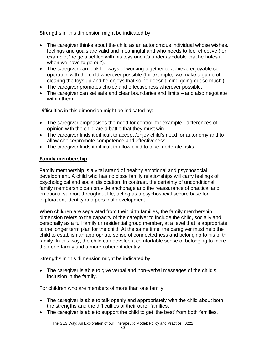Strengths in this dimension might be indicated by:

- The caregiver thinks about the child as an autonomous individual whose wishes, feelings and goals are valid and meaningful and who needs to feel effective (for example, 'he gets settled with his toys and it's understandable that he hates it when we have to go out').
- The caregiver can look for ways of working together to achieve enjoyable cooperation with the child wherever possible (for example, 'we make a game of clearing the toys up and he enjoys that so he doesn't mind going out so much').
- The caregiver promotes choice and effectiveness wherever possible.
- The caregiver can set safe and clear boundaries and limits and also negotiate within them.

Difficulties in this dimension might be indicated by:

- The caregiver emphasises the need for control, for example differences of opinion with the child are a battle that they must win.
- The caregiver finds it difficult to accept /enjoy child's need for autonomy and to allow choice/promote competence and effectiveness.
- The caregiver finds it difficult to allow child to take moderate risks.

# **Family membership**

Family membership is a vital strand of healthy emotional and psychosocial development. A child who has no close family relationships will carry feelings of psychological and social dislocation. In contrast, the certainty of unconditional family membership can provide anchorage and the reassurance of practical and emotional support throughout life, acting as a psychosocial secure base for exploration, identity and personal development.

When children are separated from their birth families, the family membership dimension refers to the capacity of the caregiver to include the child, socially and personally as a full family or residential group member, at a level that is appropriate to the longer term plan for the child. At the same time, the caregiver must help the child to establish an appropriate sense of connectedness and belonging to his birth family. In this way, the child can develop a comfortable sense of belonging to more than one family and a more coherent identity.

Strengths in this dimension might be indicated by:

• The caregiver is able to give verbal and non-verbal messages of the child's inclusion in the family.

For children who are members of more than one family:

- The caregiver is able to talk openly and appropriately with the child about both the strengths and the difficulties of their other families.
- The caregiver is able to support the child to get 'the best' from both families.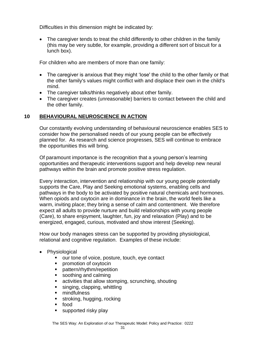Difficulties in this dimension might be indicated by:

The caregiver tends to treat the child differently to other children in the family (this may be very subtle, for example, providing a different sort of biscuit for a lunch box).

For children who are members of more than one family:

- The caregiver is anxious that they might 'lose' the child to the other family or that the other family's values might conflict with and displace their own in the child's mind.
- The caregiver talks/thinks negatively about other family.
- The caregiver creates (unreasonable) barriers to contact between the child and the other family.

# **10 BEHAVIOURAL NEUROSCIENCE IN ACTION**

Our constantly evolving understanding of behavioural neuroscience enables SES to consider how the personalised needs of our young people can be effectively planned for. As research and science progresses, SES will continue to embrace the opportunities this will bring.

Of paramount importance is the recognition that a young person's learning opportunities and therapeutic interventions support and help develop new neural pathways within the brain and promote positive stress regulation.

Every interaction, intervention and relationship with our young people potentially supports the Care, Play and Seeking emotional systems, enabling cells and pathways in the body to be activated by positive natural chemicals and hormones. When opiods and oxytocin are in dominance in the brain, the world feels like a warm, inviting place; they bring a sense of calm and contentment. We therefore expect all adults to provide nurture and build relationships with young people (Care), to share enjoyment, laughter, fun, joy and relaxation (Play) and to be energized, engaged, curious, motivated and show interest (Seeking).

How our body manages stress can be supported by providing physiological, relational and cognitive regulation. Examples of these include:

- Physiological
	- our tone of voice, posture, touch, eye contact
	- promotion of oxytocin
	- pattern/rhythm/repetition
	- soothing and calming
	- activities that allow stomping, scrunching, shouting
	- singing, clapping, whittling
	- mindfulness
	- stroking, hugging, rocking
	- food
	- supported risky play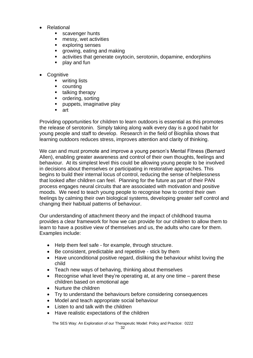- **Relational** 
	- scavenger hunts
	- messy, wet activities
	- exploring senses
	- growing, eating and making
	- **E** activities that generate oxytocin, serotonin, dopamine, endorphins
	- play and fun
- **Cognitive** 
	- writing lists
	- counting
	- talking therapy
	- ordering, sorting
	- puppets, imaginative play
	- art

Providing opportunities for children to learn outdoors is essential as this promotes the release of serotonin. Simply taking along walk every day is a good habit for young people and staff to develop. Research in the field of Biophilia shows that learning outdoors reduces stress, improves attention and clarity of thinking.

We can and must promote and improve a young person's Mental Fitness (Bernard Allen), enabling greater awareness and control of their own thoughts, feelings and behaviour. At its simplest level this could be allowing young people to be involved in decisions about themselves or participating in restorative approaches. This begins to build their internal locus of control, reducing the sense of helplessness that looked after children can feel. Planning for the future as part of their PAN process engages neural circuits that are associated with motivation and positive moods. We need to teach young people to recognise how to control their own feelings by calming their own biological systems, developing greater self control and changing their habitual patterns of behaviour.

Our understanding of attachment theory and the impact of childhood trauma provides a clear framework for how we can provide for our children to allow them to learn to have a positive view of themselves and us, the adults who care for them. Examples include:

- Help them feel safe for example, through structure.
- Be consistent, predictable and repetitive stick by them
- Have unconditional positive regard, disliking the behaviour whilst loving the child
- Teach new ways of behaving, thinking about themselves
- Recognise what level they're operating at, at any one time parent these children based on emotional age
- Nurture the children
- Try to understand the behaviours before considering consequences
- Model and teach appropriate social behaviour
- Listen to and talk with the children
- Have realistic expectations of the children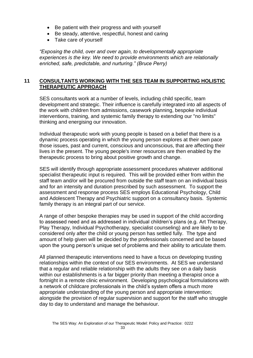- Be patient with their progress and with yourself
- Be steady, attentive, respectful, honest and caring
- Take care of yourself

*"Exposing the child, over and over again, to developmentally appropriate experiences is the key. We need to provide environments which are relationally enriched, safe, predictable, and nurturing." (Bruce Perry)*

## **11 CONSULTANTS WORKING WITH THE SES TEAM IN SUPPORTING HOLISTIC THERAPEUTIC APPROACH**

SES consultants work at a number of levels, including child specific, team development and strategic. Their influence is carefully integrated into all aspects of the work with children from admissions, casework planning, bespoke individual interventions, training, and systemic family therapy to extending our "no limits" thinking and energising our innovation.

Individual therapeutic work with young people is based on a belief that there is a dynamic process operating in which the young person explores at their own pace those issues, past and current, conscious and unconscious, that are affecting their lives in the present. The young people's inner resources are then enabled by the therapeutic process to bring about positive growth and change.

SES will identify through appropriate assessment procedures whatever additional specialist therapeutic input is required. This will be provided either from within the staff team and/or will be procured from outside the staff team on an individual basis and for an intensity and duration prescribed by such assessment. To support the assessment and response process SES employs Educational Psychology, Child and Adolescent Therapy and Psychiatric support on a consultancy basis. Systemic family therapy is an integral part of our service.

A range of other bespoke therapies may be used in support of the child according to assessed need and as addressed in individual children's plans (e.g. Art Therapy, Play Therapy, Individual Psychotherapy, specialist counseling) and are likely to be considered only after the child or young person has settled fully. The type and amount of help given will be decided by the professionals concerned and be based upon the young person's unique set of problems and their ability to articulate them.

All planned therapeutic interventions need to have a focus on developing trusting relationships within the context of our SES environments. At SES we understand that a regular and reliable relationship with the adults they see on a daily basis within our establishments is a far bigger priority than meeting a therapist once a fortnight in a remote clinic environment. Developing psychological formulations with a network of childcare professionals in the child's system offers a much more appropriate understanding of the young person and appropriate intervention; alongside the provision of regular supervision and support for the staff who struggle day to day to understand and manage the behaviour.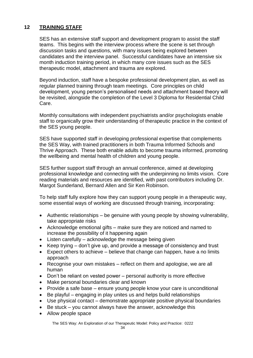# **12 TRAINING STAFF**

SES has an extensive staff support and development program to assist the staff teams. This begins with the interview process where the scene is set through discussion tasks and questions, with many issues being explored between candidates and the interview panel. Successful candidates have an intensive six month induction training period, in which many core issues such as the SES therapeutic model, attachment and trauma are explored.

Beyond induction, staff have a bespoke professional development plan, as well as regular planned training through team meetings. Core principles on child development, young person's personalised needs and attachment based theory will be revisited, alongside the completion of the Level 3 Diploma for Residential Child Care.

Monthly consultations with independent psychiatrists and/or psychologists enable staff to organically grow their understanding of therapeutic practice in the context of the SES young people.

SES have supported staff in developing professional expertise that complements the SES Way, with trained practitioners in both Trauma Informed Schools and Thrive Approach. These both enable adults to become trauma informed, promoting the wellbeing and mental health of children and young people.

SES further support staff through an annual conference, aimed at developing professional knowledge and connecting with the underpinning no limits vision. Core reading materials and resources are identified, with past contributors including Dr. Margot Sunderland, Bernard Allen and Sir Ken Robinson.

To help staff fully explore how they can support young people in a therapeutic way, some essential ways of working are discussed through training, incorporating:

- Authentic relationships be genuine with young people by showing vulnerability, take appropriate risks
- Acknowledge emotional gifts make sure they are noticed and named to increase the possibility of it happening again
- Listen carefully acknowledge the message being given
- Keep trying don't give up, and provide a message of consistency and trust
- Expect others to achieve believe that change can happen, have a no limits approach
- Recognise your own mistakes reflect on them and apologise, we are all human
- Don't be reliant on vested power personal authority is more effective
- Make personal boundaries clear and known
- Provide a safe base ensure young people know your care is unconditional
- Be playful engaging in play unites us and helps build relationships
- Use physical contact demonstrate appropriate positive physical boundaries
- Be stuck you cannot always have the answer, acknowledge this
- Allow people space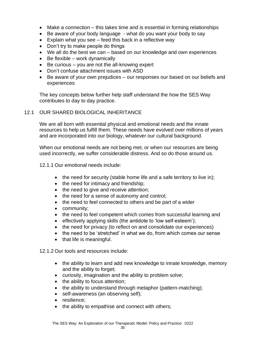- Make a connection this takes time and is essential in forming relationships
- Be aware of your body language what do you want your body to say
- Explain what you see feed this back in a reflective way
- Don't try to make people do things
- We all do the best we can based on our knowledge and own experiences
- Be flexible work dynamically
- Be curious you are not the all-knowing expert
- Don't confuse attachment issues with ASD
- Be aware of your own prejudices our responses our based on our beliefs and experiences

The key concepts below further help staff understand the how the SES Way contributes to day to day practice.

#### 12.1 OUR SHARED BIOLOGICAL INHERITANCE

We are all born with essential physical and emotional needs and the innate resources to help us fulfill them. These needs have evolved over millions of years and are incorporated into our biology, whatever our cultural background.

When our emotional needs are not being met, or when our resources are being used incorrectly, we suffer considerable distress. And so do those around us.

#### 12.1.1 Our emotional needs include:

- the need for security (stable home life and a safe territory to live in);
- the need for intimacy and friendship;
- the need to give and receive attention;
- the need for a sense of autonomy and control;
- the need to feel connected to others and be part of a wider
- community;
- the need to feel competent which comes from successful learning and
- effectively applying skills (the antidote to 'low self-esteem');
- the need for privacy (to reflect on and consolidate our experiences)
- the need to be 'stretched' in what we do, from which comes our sense
- that life is meaningful.

12.1.2 Our tools and resources include:

- the ability to learn and add new knowledge to innate knowledge, memory and the ability to forget;
- curiosity, imagination and the ability to problem solve;
- the ability to focus attention:
- the ability to understand through metaphor (pattern-matching);
- self-awareness (an observing self);
- resilience;
- the ability to empathise and connect with others;